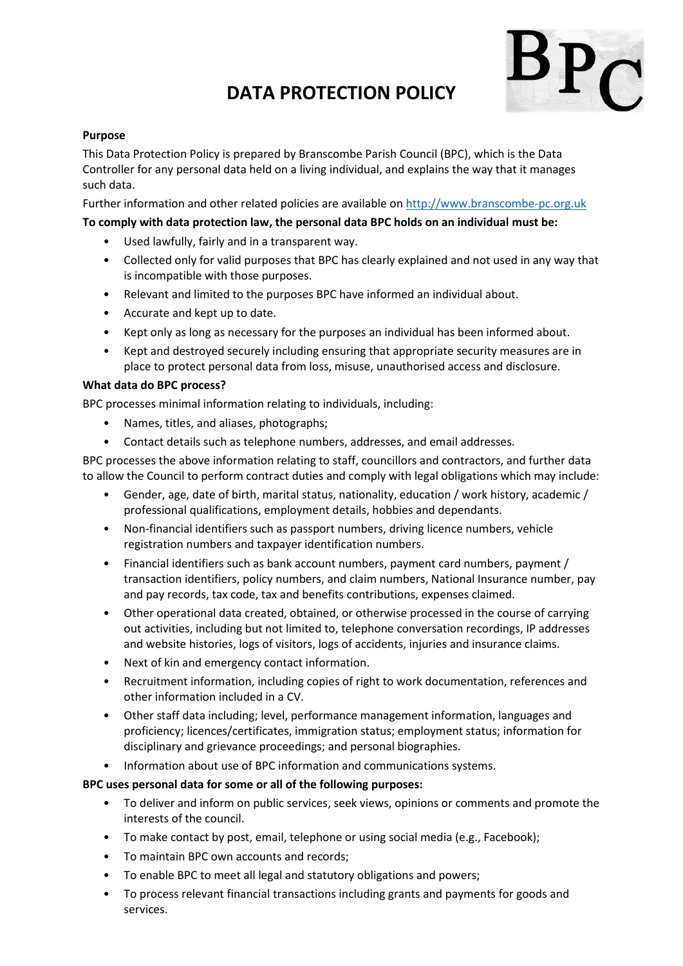# **DATA PROTECTION POLICY**



# **Purpose**

This Data Protection Policy is prepared by Branscombe Parish Council (BPC), which is the Data Controller for any personal data held on a living individual, and explains the way that it manages such data.

Further information and other related policies are available o[n http://www.branscombe-pc.org.uk](http://www.branscombe-pc.org.uk/)

# **To comply with data protection law, the personal data BPC holds on an individual must be:**

- Used lawfully, fairly and in a transparent way.
- Collected only for valid purposes that BPC has clearly explained and not used in any way that is incompatible with those purposes.
- Relevant and limited to the purposes BPC have informed an individual about.
- Accurate and kept up to date.
- Kept only as long as necessary for the purposes an individual has been informed about.
- Kept and destroyed securely including ensuring that appropriate security measures are in place to protect personal data from loss, misuse, unauthorised access and disclosure.

#### **What data do BPC process?**

BPC processes minimal information relating to individuals, including:

- Names, titles, and aliases, photographs;
- Contact details such as telephone numbers, addresses, and email addresses.

BPC processes the above information relating to staff, councillors and contractors, and further data to allow the Council to perform contract duties and comply with legal obligations which may include:

- Gender, age, date of birth, marital status, nationality, education / work history, academic / professional qualifications, employment details, hobbies and dependants.
- Non-financial identifiers such as passport numbers, driving licence numbers, vehicle registration numbers and taxpayer identification numbers.
- Financial identifiers such as bank account numbers, payment card numbers, payment / transaction identifiers, policy numbers, and claim numbers, National Insurance number, pay and pay records, tax code, tax and benefits contributions, expenses claimed.
- Other operational data created, obtained, or otherwise processed in the course of carrying out activities, including but not limited to, telephone conversation recordings, IP addresses and website histories, logs of visitors, logs of accidents, injuries and insurance claims.
- Next of kin and emergency contact information.
- Recruitment information, including copies of right to work documentation, references and other information included in a CV.
- Other staff data including; level, performance management information, languages and proficiency; licences/certificates, immigration status; employment status; information for disciplinary and grievance proceedings; and personal biographies.
- Information about use of BPC information and communications systems.

#### **BPC uses personal data for some or all of the following purposes:**

- To deliver and inform on public services, seek views, opinions or comments and promote the interests of the council.
- To make contact by post, email, telephone or using social media (e.g., Facebook);
- To maintain BPC own accounts and records;
- To enable BPC to meet all legal and statutory obligations and powers;
- To process relevant financial transactions including grants and payments for goods and services.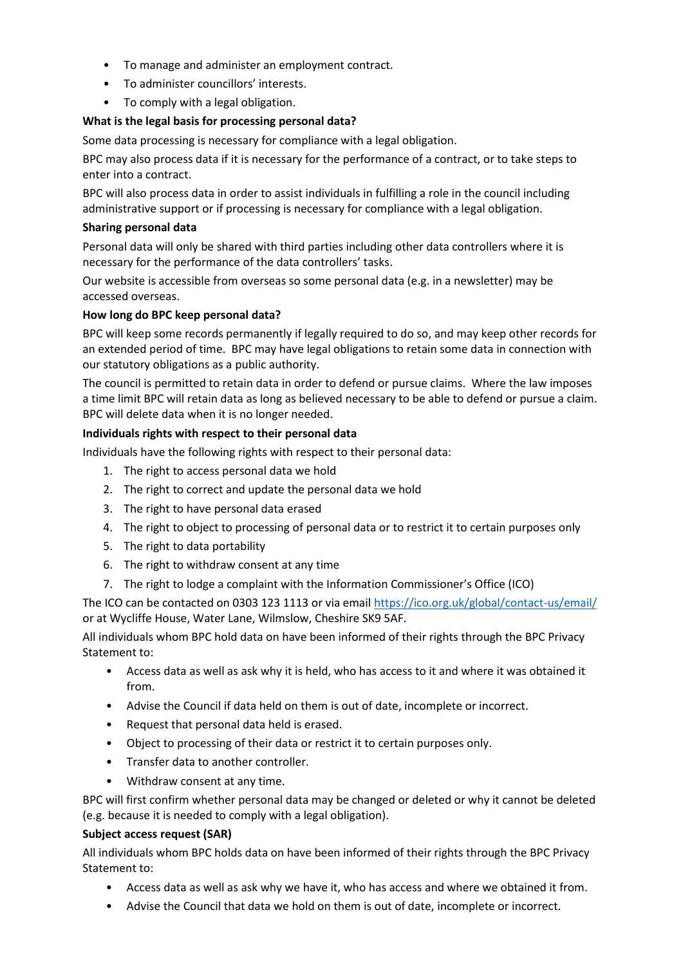- To manage and administer an employment contract.
- To administer councillors' interests.
- To comply with a legal obligation.

# **What is the legal basis for processing personal data?**

Some data processing is necessary for compliance with a legal obligation.

BPC may also process data if it is necessary for the performance of a contract, or to take steps to enter into a contract.

BPC will also process data in order to assist individuals in fulfilling a role in the council including administrative support or if processing is necessary for compliance with a legal obligation.

# **Sharing personal data**

Personal data will only be shared with third parties including other data controllers where it is necessary for the performance of the data controllers' tasks.

Our website is accessible from overseas so some personal data (e.g. in a newsletter) may be accessed overseas.

# **How long do BPC keep personal data?**

BPC will keep some records permanently if legally required to do so, and may keep other records for an extended period of time. BPC may have legal obligations to retain some data in connection with our statutory obligations as a public authority.

The council is permitted to retain data in order to defend or pursue claims. Where the law imposes a time limit BPC will retain data as long as believed necessary to be able to defend or pursue a claim. BPC will delete data when it is no longer needed.

# **Individuals rights with respect to their personal data**

Individuals have the following rights with respect to their personal data:

- 1. The right to access personal data we hold
- 2. The right to correct and update the personal data we hold
- 3. The right to have personal data erased
- 4. The right to object to processing of personal data or to restrict it to certain purposes only
- 5. The right to data portability
- 6. The right to withdraw consent at any time
- 7. The right to lodge a complaint with the Information Commissioner's Office (ICO)

The ICO can be contacted on 0303 123 1113 or via email<https://ico.org.uk/global/contact-us/email/> or at Wycliffe House, Water Lane, Wilmslow, Cheshire SK9 5AF.

All individuals whom BPC hold data on have been informed of their rights through the BPC Privacy Statement to:

- Access data as well as ask why it is held, who has access to it and where it was obtained it from.
- Advise the Council if data held on them is out of date, incomplete or incorrect.
- Request that personal data held is erased.
- Object to processing of their data or restrict it to certain purposes only.
- Transfer data to another controller.
- Withdraw consent at any time.

BPC will first confirm whether personal data may be changed or deleted or why it cannot be deleted (e.g. because it is needed to comply with a legal obligation).

#### **Subject access request (SAR)**

All individuals whom BPC holds data on have been informed of their rights through the BPC Privacy Statement to:

- Access data as well as ask why we have it, who has access and where we obtained it from.
- Advise the Council that data we hold on them is out of date, incomplete or incorrect.